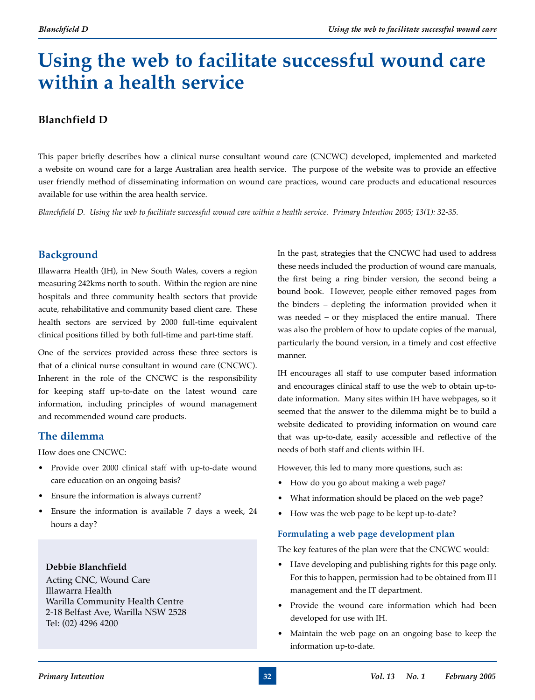# **Using the web to facilitate successful wound care within a health service**

## **Blanchfield D**

This paper briefly describes how a clinical nurse consultant wound care (CNCWC) developed, implemented and marketed a website on wound care for a large Australian area health service. The purpose of the website was to provide an effective user friendly method of disseminating information on wound care practices, wound care products and educational resources available for use within the area health service.

*Blanchfield D. Using the web to facilitate successful wound care within a health service. Primary Intention 2005; 13(1): 32-35.*

## **Background**

Illawarra Health (IH), in New South Wales, covers a region measuring 242kms north to south. Within the region are nine hospitals and three community health sectors that provide acute, rehabilitative and community based client care. These health sectors are serviced by 2000 full-time equivalent clinical positions filled by both full-time and part-time staff.

One of the services provided across these three sectors is that of a clinical nurse consultant in wound care (CNCWC). Inherent in the role of the CNCWC is the responsibility for keeping staff up-to-date on the latest wound care information, including principles of wound management and recommended wound care products.

#### **The dilemma**

How does one CNCWC:

- Provide over 2000 clinical staff with up-to-date wound care education on an ongoing basis?
- Ensure the information is always current?
- Ensure the information is available 7 days a week, 24 hours a day?

#### **Debbie Blanchfield**

Acting CNC, Wound Care Illawarra Health Warilla Community Health Centre 2-18 Belfast Ave, Warilla NSW 2528 Tel: (02) 4296 4200

In the past, strategies that the CNCWC had used to address these needs included the production of wound care manuals, the first being a ring binder version, the second being a bound book. However, people either removed pages from the binders – depleting the information provided when it was needed – or they misplaced the entire manual. There was also the problem of how to update copies of the manual, particularly the bound version, in a timely and cost effective manner.

IH encourages all staff to use computer based information and encourages clinical staff to use the web to obtain up-todate information. Many sites within IH have webpages, so it seemed that the answer to the dilemma might be to build a website dedicated to providing information on wound care that was up-to-date, easily accessible and reflective of the needs of both staff and clients within IH.

However, this led to many more questions, such as:

- How do you go about making a web page?
- What information should be placed on the web page?
- How was the web page to be kept up-to-date?

#### **Formulating a web page development plan**

The key features of the plan were that the CNCWC would:

- Have developing and publishing rights for this page only. For this to happen, permission had to be obtained from IH management and the IT department.
- Provide the wound care information which had been developed for use with IH.
- Maintain the web page on an ongoing base to keep the information up-to-date.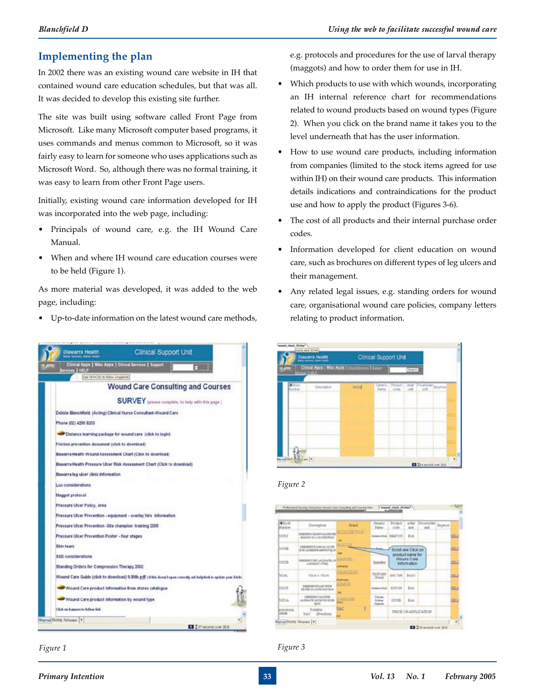#### **Implementing the plan**

In 2002 there was an existing wound care website in IH that contained wound care education schedules, but that was all. It was decided to develop this existing site further.

The site was built using software called Front Page from Microsoft. Like many Microsoft computer based programs, it uses commands and menus common to Microsoft, so it was fairly easy to learn for someone who uses applications such as Microsoft Word. So, although there was no formal training, it was easy to learn from other Front Page users.

Initially, existing wound care information developed for IH was incorporated into the web page, including:

- Principals of wound care, e.g. the IH Wound Care Manual.
- When and where IH wound care education courses were to be held (Figure 1).

As more material was developed, it was added to the web page, including:

• Up-to-date information on the latest wound care methods,



*Figure 1*

e.g. protocols and procedures for the use of larval therapy (maggots) and how to order them for use in IH.

- Which products to use with which wounds, incorporating an IH internal reference chart for recommendations related to wound products based on wound types (Figure 2). When you click on the brand name it takes you to the level underneath that has the user information.
- How to use wound care products, including information from companies (limited to the stock items agreed for use within IH) on their wound care products. This information details indications and contraindications for the product use and how to apply the product (Figures 3-6).
- The cost of all products and their internal purchase order codes.
- Information developed for client education on wound care, such as brochures on different types of leg ulcers and their management.
- Any related legal issues, e.g. standing orders for wound care, organisational wound care policies, company letters relating to product information.



#### *Figure 2*



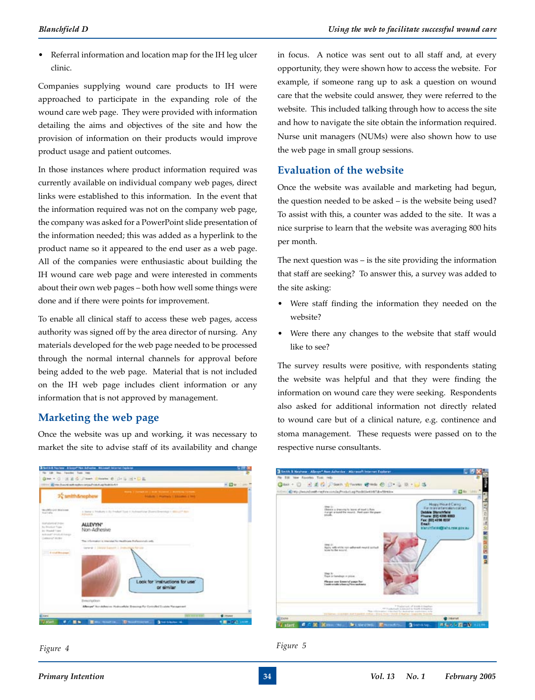• Referral information and location map for the IH leg ulcer clinic.

Companies supplying wound care products to IH were approached to participate in the expanding role of the wound care web page. They were provided with information detailing the aims and objectives of the site and how the provision of information on their products would improve product usage and patient outcomes.

In those instances where product information required was currently available on individual company web pages, direct links were established to this information. In the event that the information required was not on the company web page, the company was asked for a PowerPoint slide presentation of the information needed; this was added as a hyperlink to the product name so it appeared to the end user as a web page. All of the companies were enthusiastic about building the IH wound care web page and were interested in comments about their own web pages – both how well some things were done and if there were points for improvement.

To enable all clinical staff to access these web pages, access authority was signed off by the area director of nursing. Any materials developed for the web page needed to be processed through the normal internal channels for approval before being added to the web page. Material that is not included on the IH web page includes client information or any information that is not approved by management.

#### **Marketing the web page**

Once the website was up and working, it was necessary to market the site to advise staff of its availability and change



in focus. A notice was sent out to all staff and, at every opportunity, they were shown how to access the website. For example, if someone rang up to ask a question on wound care that the website could answer, they were referred to the website. This included talking through how to access the site and how to navigate the site obtain the information required. Nurse unit managers (NUMs) were also shown how to use the web page in small group sessions.

#### **Evaluation of the website**

Once the website was available and marketing had begun, the question needed to be asked – is the website being used? To assist with this, a counter was added to the site. It was a nice surprise to learn that the website was averaging 800 hits per month.

The next question was – is the site providing the information that staff are seeking? To answer this, a survey was added to the site asking:

- Were staff finding the information they needed on the website?
- Were there any changes to the website that staff would like to see?

The survey results were positive, with respondents stating the website was helpful and that they were finding the information on wound care they were seeking. Respondents also asked for additional information not directly related to wound care but of a clinical nature, e.g. continence and stoma management. These requests were passed on to the respective nurse consultants.